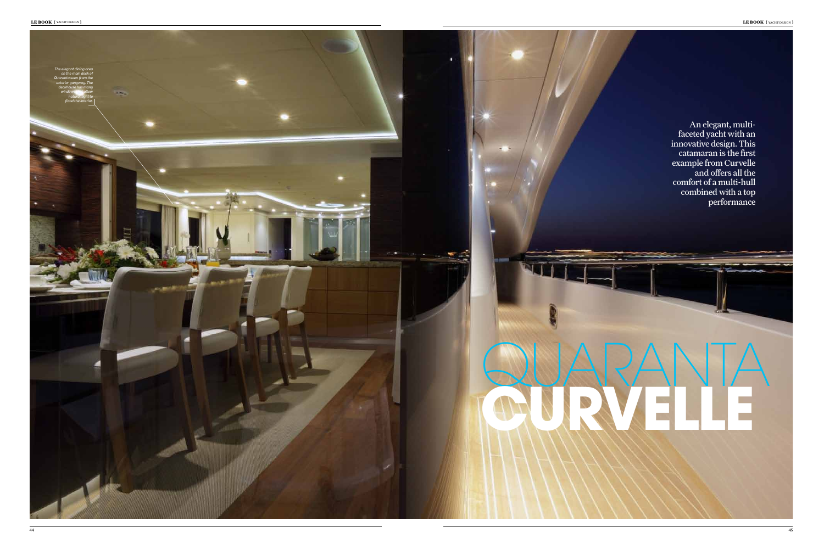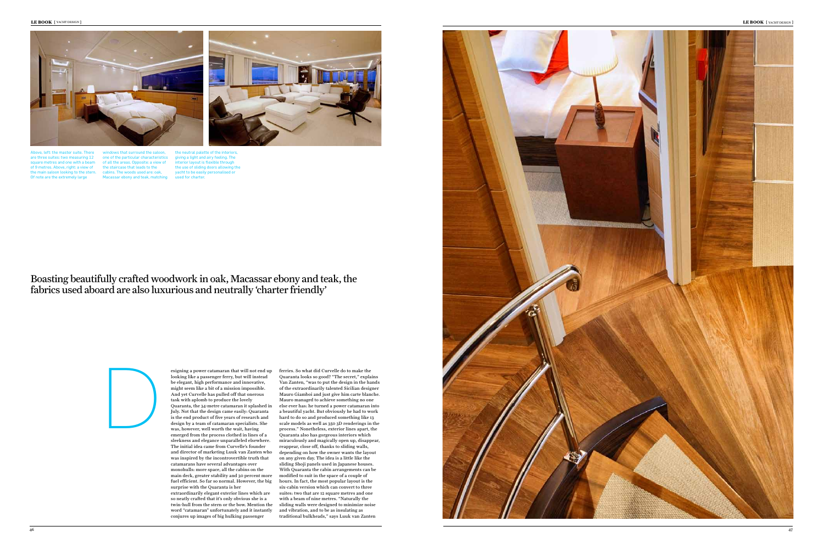

esigning a power catamaran that will not end up looking like a passenger ferry, but will instead be elegant, high performance and innovative, might seem like a bit of a mission impossible. And yet Curvelle has pulled off that onerous task with aplomb to produce the lovely Quaranta, the 34-metre catamaran it splashed in July. Not that the design came easily: Quaranta is the end product of five years of research and design by a team of catamaran specialists. She was, however, well worth the wait, having emerged from the process clothed in lines of a sleekness and elegance unparalleled elsewhere. The initial idea came from Curvelle's founder and director of marketing Luuk van Zanten who was inspired by the incontrovertible truth that catamarans have several advantages over monohulls: more space, all the cabins on the main deck, greater stability and 30 percent more fuel efficient. So far so normal. However, the big surprise with the Quaranta is her extraordinarily elegant exterior lines which are so neatly crafted that it's only obvious she is a twin-hull from the stern or the bow. Mention the word "catamaran" unfortunately and it instantly conjures up images of big hulking passenger

windows that surround the saloon, one of the particular characteristics of all the areas. Opposite: a view of the staircase that leads to the cabins. The woods used are: oak, ony and teak, matching

the neutral palette of the interiors, giving a light and airy feeling. The interior layout is flexible through the use of sliding doors allowing the yacht to be easily personalised or used for charte

> ferries. So what did Curvelle do to make the Quaranta looks so good? "The secret," explains Van Zanten, "was to put the design in the hands of the extraordinarily talented Sicilian designer Mauro Giamboi and just give him carte blanche. Mauro managed to achieve something no one else ever has: he turned a power catamaran into a beautiful yacht. But obviously he had to work hard to do so and produced something like 13 scale models as well as 350 3D renderings in the process." Nonetheless, exterior lines apart, the Quaranta also has gorgeous interiors which miraculously and magically open up, disappear, reappear, close off, thanks to sliding walls, depending on how the owner wants the layout on any given day. The idea is a little like the sliding Shoji panels used in Japanese houses. With Quaranta the cabin arrangements can be modified to suit in the space of a couple of hours. In fact, the most popular layout is the six-cabin version which can convert to three suites: two that are 12 square metres and one with a beam of nine metres. "Naturally the sliding walls were designed to minimize noise and vibration, and to be as insulating as traditional bulkheads," says Luuk van Zanten

LE **BOOK** { YACHT DESIGN }





Above, left: the master suite. There are three suites: two measuring 12 square metres and one with a beam of 9 metres. Above, right: a view of the main saloon looking to the stern. Of note are the extremely large

Boasting beautifully crafted woodwork in oak, Macassar ebony and teak, the fabrics used aboard are also luxurious and neutrally 'charter friendly'

## D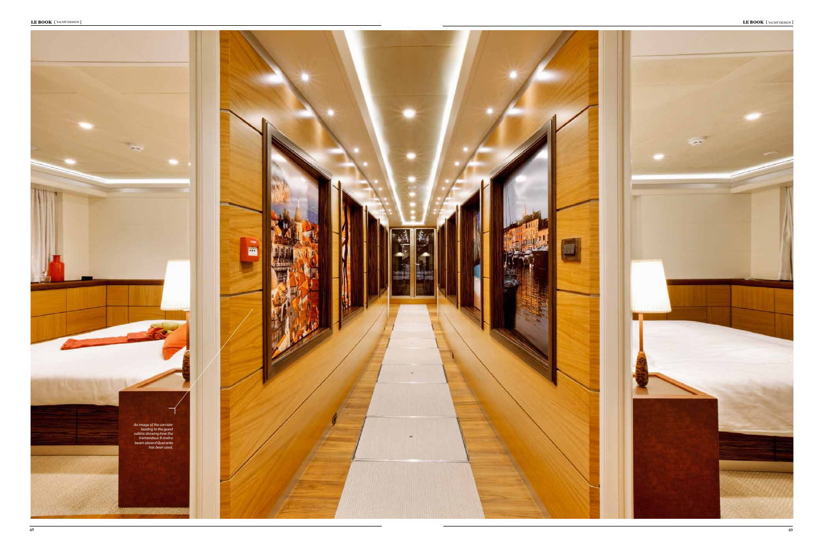